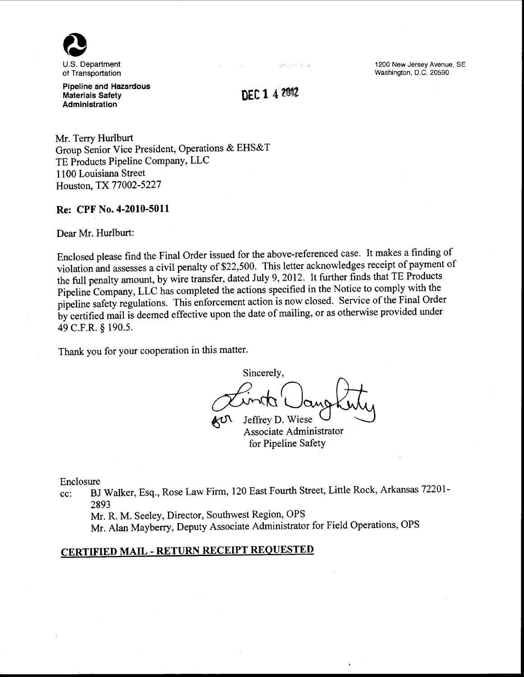

U.S. Department of Transportation

Pipeline and Hazardous Materials Safety Administration

DEC 1 4 2012

صران فالدحاجات والهيا

Mr. Terry Hurlburt Group Senior Vice President, Operations & EHS&T TE Products Pipeline Company, LLC 1100 Louisiana Street Houston, TX 77002-5227

## Re: CPF No. 4-2010-5011

Dear Mr. Hurlburt:

Enclosed please find the Final Order issued for the above-referenced case. It makes a finding of violation and assesses a civil penalty of \$22,500. This letter acknowledges receipt of payment of the full penalty amount, by wire transfer, dated July 9, 2012. It further finds that TE Products Pipeline Company, LLC has completed the actions specified in the Notice to comply with the pipeline safety regulations. This enforcement action is now closed. Service of the Final Order by certified mail is deemed effective upon the date of mailing, or as otherwise provided under 49 C.F.R. § 190.5.

Thank you for your cooperation in this matter.

Sincerely, Sinceres, Associate Administrator for Pipeline Safety

Enclosure

cc: BJ Walker, Esq., Rose Law Firm, 120 East Fourth Street, Little Rock, Arkansas 72201- 2893

Mr. R. M. Seeley, Director, Southwest Region, OPS

Mr. Alan Mayberry, Deputy Associate Administrator for Field Operations, OPS

# CERTIFIED MAIL- RETURN RECEIPT REQUESTED

1200 New Jersey Avenue, SE Washington, D.C. 20590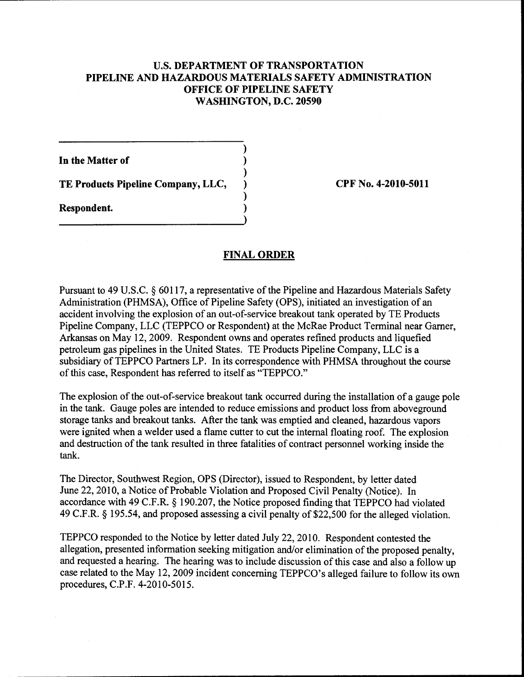# U.S. **DEPARTMENT OF TRANSPORTATION PIPELINE AND HAZARDOUS MATERIALS SAFETY ADMINISTRATION OFFICE OF PIPELINE SAFETY WASHINGTON, D.C. 20590**

)

)

)

**In the Matter of** )

**TE Products Pipeline Company, LLC,** ) **CPF No. 4-2010-5011** 

**Respondent.** )

# **FINAL ORDER**

Pursuant to 49 U.S.C. § 60117, a representative of the Pipeline and Hazardous Materials Safety Administration (PHMSA), Office of Pipeline Safety (OPS), initiated an investigation of an accident involving the explosion of an out-of-service breakout tank operated by TE Products Pipeline Company, LLC (TEPPCO or Respondent) at the McRae Product Terminal near Garner, Arkansas on May 12, 2009. Respondent owns and operates refined products and liquefied petroleum gas pipelines in the United States. TE Products Pipeline Company, LLC is a subsidiary of TEPPCO Partners LP. In its correspondence with PHMSA throughout the course of this case, Respondent has referred to itself as "TEPPCO."

The explosion of the out-of-service breakout tank occurred during the installation of a gauge pole in the tank. Gauge poles are intended to reduce emissions and product loss from aboveground storage tanks and breakout tanks. After the tank was emptied and cleaned, hazardous vapors were ignited when a welder used a flame cutter to cut the internal floating roof. The explosion and destruction of the tank resulted in three fatalities of contract personnel working inside the tank.

The Director, Southwest Region, OPS (Director), issued to Respondent, by letter dated June 22, 2010, a Notice of Probable Violation and Proposed Civil Penalty (Notice). In accordance with 49 C.F.R. § 190.207, the Notice proposed finding that TEPPCO had violated 49 C.F.R. § 195.54, and proposed assessing a civil penalty of \$22,500 for the alleged violation.

TEPPCO responded to the Notice by letter dated July 22, 2010. Respondent contested the allegation, presented information seeking mitigation and/or elimination of the proposed penalty, and requested a hearing. The hearing was to include discussion of this case and also a follow up case related to the May 12, 2009 incident concerning TEPPCO's alleged failure to follow its own procedures, C.P.F. 4-2010-5015.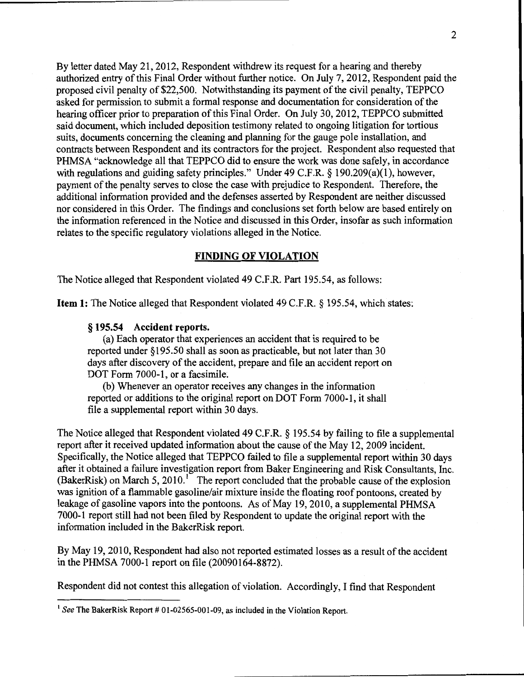By letter dated May 21, 2012, Respondent withdrew its request for a hearing and thereby authorized entry of this Final Order without further notice. On July 7, 2012, Respondent paid the proposed civil penalty of\$22,500. Notwithstanding its payment of the civil penalty, TEPPCO asked for permission to submit a formal response and documentation for consideration of the hearing officer prior to preparation of this Final Order. On July 30, 2012, TEPPCO submitted said document, which included deposition testimony related to ongoing litigation for tortious suits, documents concerning the cleaning and planning for the gauge pole installation, and contracts between Respondent and its contractors for the project. Respondent also requested that PHMSA "acknowledge all that TEPPCO did to ensure the work was done safely, in accordance with regulations and guiding safety principles." Under 49 C.F.R. § 190.209(a)(1), however, payment of the penalty serves to close the case with prejudice to Respondent. Therefore, the additional information provided and the defenses asserted by Respondent are neither discussed nor considered in this Order. The findings and conclusions set forth below are based entirely on the information referenced in the Notice and discussed in this Order, insofar as such information relates to the specific regulatory violations alleged in the Notice.

## **FINDING OF VIOLATION**

The Notice alleged that Respondent violated 49 C.F.R. Part 195.54, as follows:

**Item 1:** The Notice alleged that Respondent violated 49 C.F.R. § 195.54, which states:

## § **195.54 Accident reports.**

(a) Each operator that experiences an accident that is required to be reported under § 195.50 shall as soon as practicable, but not later than 30 days after discovery of the accident, prepare and file an accident report on DOT Form 7000-1, or a facsimile.

(b) Whenever an operator receives any changes in the information reported or additions to the original report on DOT Form 7000-1, it shall file a supplemental report within 30 days.

The Notice alleged that Respondent violated 49 C.F.R. § 195.54 by failing to file a supplemental report after it received updated information about the cause of the May 12, 2009 incident. Specifically, the Notice alleged that TEPPCO failed to file a supplemental report within 30 days after it obtained a failure investigation report from Baker Engineering and Risk Consultants, Inc. (BakerRisk) on March 5, 2010.<sup>1</sup> The report concluded that the probable cause of the explosion was ignition of a flammable gasoline/air mixture inside the floating roof pontoons, created by leakage of gasoline vapors into the pontoons. As of May 19, 2010, a supplemental PHMSA 7000-1 report still had not been filed by Respondent to update the original report with the information included in the BakerRisk report.

By May 19,2010, Respondent had also not reported estimated losses as a result of the accident in the PHMSA 7000-1 report on file (20090164-8872).

Respondent did not contest this allegation of violation. Accordingly, I find that Respondent

 $<sup>1</sup>$  See The BakerRisk Report # 01-02565-001-09, as included in the Violation Report.</sup>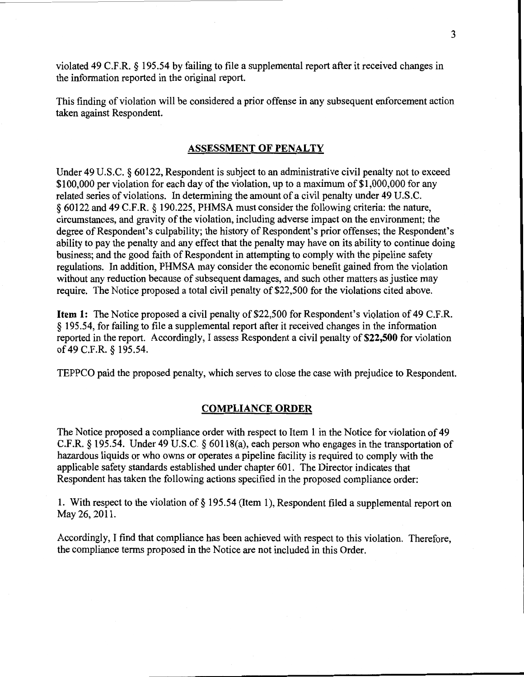violated 49 C.F.R. § 195.54 by failing to file a supplemental report after it received changes in the information reported in the original report.

This finding of violation will be considered a prior offense in any subsequent enforcement action taken against Respondent.

# ASSESSMENT OF PENALTY

Under 49 U.S.C. § 60122, Respondent is subject to an administrative civil penalty not to exceed \$100,000 per violation for each day of the violation, up to a maximum of \$1,000,000 for any related series of violations. In determining the amount of a civil penalty under 49 U.S.C. *§* 60122 and 49 C.F.R. *§* 190.225, PHMSA must consider the following criteria: the nature, circumstances, and gravity of the violation, including adverse impact on the environment; the degree of Respondent's culpability; the history of Respondent's prior offenses; the Respondent's ability to pay the penalty and any effect that the penalty may have on its ability to continue doing business; and the good faith of Respondent in attempting to comply with the pipeline safety regulations. In addition, PHMSA may consider the economic benefit gained from the violation without any reduction because of subsequent damages, and such other matters as justice may require. The Notice proposed a total civil penalty of \$22,500 for the violations cited above.

Item 1: The Notice proposed a civil penalty of \$22,500 for Respondent's violation of 49 C.F.R. *§* 195.54, for failing to file a supplemental report after it received changes in the information reported in the report. Accordingly, I assess Respondent a civil penalty of \$22,500 for violation of 49 C.F.R. *§* 195.54.

TEPPCO paid the proposed penalty, which serves to close the case with prejudice to Respondent.

#### COMPLIANCE ORDER

The Notice proposed a compliance order with respect to Item 1 in the Notice for violation of 49 C.F.R. § 195.54. Under 49 U.S.C. § 60118(a), each person who engages in the transportation of hazardous liquids or who owns or operates a pipeline facility is required to comply with the applicable safety standards established under chapter 601. The Director indicates that Respondent has taken the following actions specified in the proposed compliance order:

1. With respect to the violation of§ 195.54 (Item 1), Respondent filed a supplemental report on May 26,2011.

Accordingly, I find that compliance has been achieved with respect to this violation. Therefore, the compliance terms proposed in the Notice are not included in this Order.